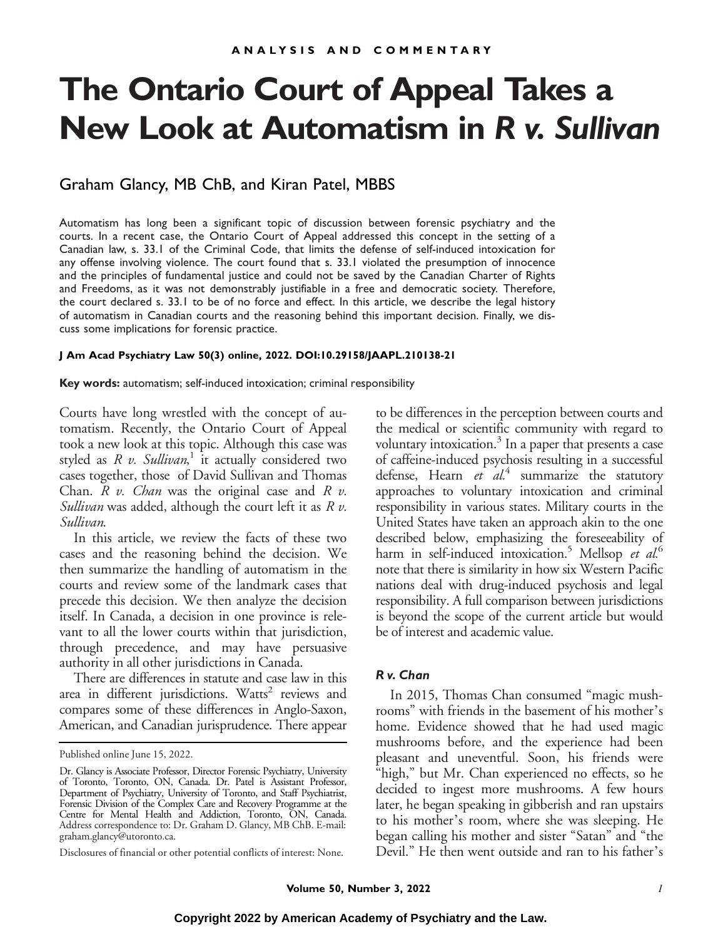# **The Ontario Court of Appeal Takes a New Look at Automatism in** *R v. Sullivan*

# Graham Glancy, MB ChB, and Kiran Patel, MBBS

Automatism has long been a significant topic of discussion between forensic psychiatry and the courts. In a recent case, the Ontario Court of Appeal addressed this concept in the setting of a Canadian law, s. 33.1 of the Criminal Code, that limits the defense of self-induced intoxication for any offense involving violence. The court found that s. 33.1 violated the presumption of innocence and the principles of fundamental justice and could not be saved by the Canadian Charter of Rights and Freedoms, as it was not demonstrably justifiable in a free and democratic society. Therefore, the court declared s. 33.1 to be of no force and effect. In this article, we describe the legal history of automatism in Canadian courts and the reasoning behind this important decision. Finally, we discuss some implications for forensic practice.

#### **J Am Acad Psychiatry Law 50(3) online, 2022. DOI:10.29158/JAAPL.210138-21**

**Key words:** automatism; self-induced intoxication; criminal responsibility

Courts have long wrestled with the concept of automatism. Recently, the Ontario Court of Appeal took a new look at this topic. Although this case was styled as  $R$  v. Sullivan,<sup>1</sup> it actually considered two cases together, those of David Sullivan and Thomas Chan.  $R$  v. *Chan* was the original case and  $R$  v. Sullivan was added, although the court left it as  $R v$ . Sullivan.

In this article, we review the facts of these two cases and the reasoning behind the decision. We then summarize the handling of automatism in the courts and review some of the landmark cases that precede this decision. We then analyze the decision itself. In Canada, a decision in one province is relevant to all the lower courts within that jurisdiction, through precedence, and may have persuasive authority in all other jurisdictions in Canada.

There are differences in statute and case law in this area in different jurisdictions. Watts<sup>2</sup> reviews and compares some of these differences in Anglo-Saxon, American, and Canadian jurisprudence. There appear

to be differences in the perception between courts and the medical or scientific community with regard to voluntary intoxication.<sup>3</sup> In a paper that presents a case of caffeine-induced psychosis resulting in a successful defense, Hearn et  $al^4$  summarize the statutory approaches to voluntary intoxication and criminal responsibility in various states. Military courts in the United States have taken an approach akin to the one described below, emphasizing the foreseeability of harm in self-induced intoxication.<sup>5</sup> Mellsop et  $al$ <sup>6</sup> note that there is similarity in how six Western Pacific nations deal with drug-induced psychosis and legal responsibility. A full comparison between jurisdictions is beyond the scope of the current article but would be of interest and academic value.

*R v. Chan* In 2015, Thomas Chan consumed "magic mushrooms" with friends in the basement of his mother's home. Evidence showed that he had used magic mushrooms before, and the experience had been pleasant and uneventful. Soon, his friends were "high," but Mr. Chan experienced no effects, so he decided to ingest more mushrooms. A few hours later, he began speaking in gibberish and ran upstairs to his mother's room, where she was sleeping. He began calling his mother and sister "Satan" and "the Devil." He then went outside and ran to his father's

Published online June 15, 2022.

Dr. Glancy is Associate Professor, Director Forensic Psychiatry, University of Toronto, Toronto, ON, Canada. Dr. Patel is Assistant Professor, Department of Psychiatry, University of Toronto, and Staff Psychiatrist, Forensic Division of the Complex Care and Recovery Programme at the Centre for Mental Health and Addiction, Toronto, ON, Canada. Address correspondence to: Dr. Graham D. Glancy, MB ChB. E-mail: [graham.glancy@utoronto.ca.](mailto:graham.glancy@utoronto.ca)

Disclosures of financial or other potential conflicts of interest: None.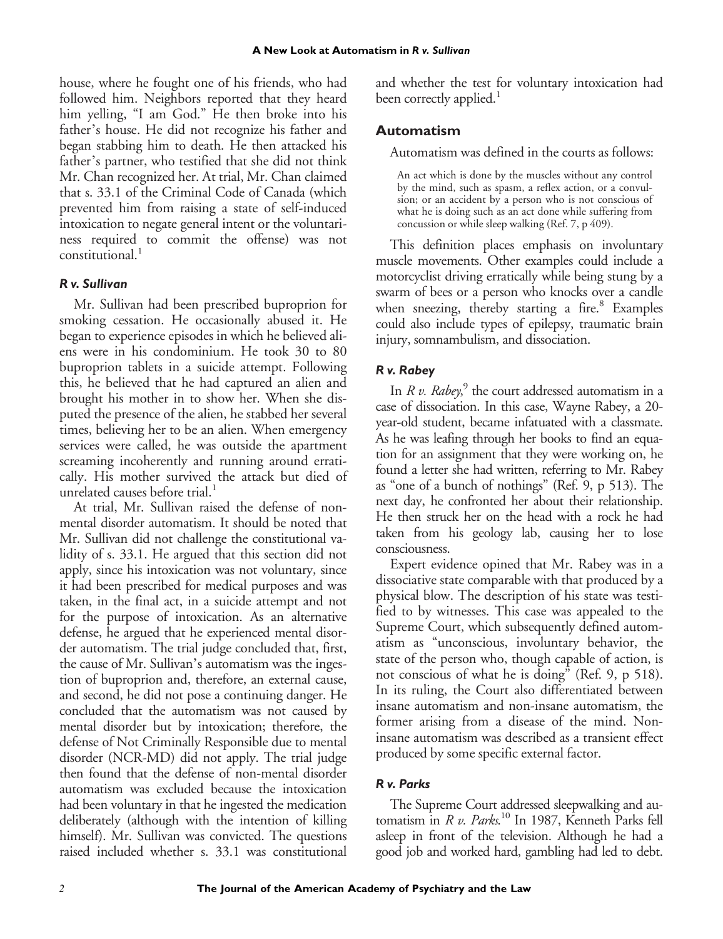house, where he fought one of his friends, who had followed him. Neighbors reported that they heard him yelling, "I am God." He then broke into his father's house. He did not recognize his father and began stabbing him to death. He then attacked his father's partner, who testified that she did not think Mr. Chan recognized her. At trial, Mr. Chan claimed that s. 33.1 of the Criminal Code of Canada (which prevented him from raising a state of self-induced intoxication to negate general intent or the voluntariness required to commit the offense) was not  $constant$ <sub>1</sub>

*R v. Sullivan* Mr. Sullivan had been prescribed buproprion for smoking cessation. He occasionally abused it. He began to experience episodes in which he believed aliens were in his condominium. He took 30 to 80 buproprion tablets in a suicide attempt. Following this, he believed that he had captured an alien and brought his mother in to show her. When she disputed the presence of the alien, he stabbed her several times, believing her to be an alien. When emergency services were called, he was outside the apartment screaming incoherently and running around erratically. His mother survived the attack but died of unrelated causes before trial.<sup>1</sup>

At trial, Mr. Sullivan raised the defense of nonmental disorder automatism. It should be noted that Mr. Sullivan did not challenge the constitutional validity of s. 33.1. He argued that this section did not apply, since his intoxication was not voluntary, since it had been prescribed for medical purposes and was taken, in the final act, in a suicide attempt and not for the purpose of intoxication. As an alternative defense, he argued that he experienced mental disorder automatism. The trial judge concluded that, first, the cause of Mr. Sullivan's automatism was the ingestion of buproprion and, therefore, an external cause, and second, he did not pose a continuing danger. He concluded that the automatism was not caused by mental disorder but by intoxication; therefore, the defense of Not Criminally Responsible due to mental disorder (NCR-MD) did not apply. The trial judge then found that the defense of non-mental disorder automatism was excluded because the intoxication had been voluntary in that he ingested the medication deliberately (although with the intention of killing himself). Mr. Sullivan was convicted. The questions raised included whether s. 33.1 was constitutional

and whether the test for voluntary intoxication had been correctly applied.<sup>1</sup>

## **Automatism**

Automatism was defined in the courts as follows:

An act which is done by the muscles without any control by the mind, such as spasm, a reflex action, or a convulsion; or an accident by a person who is not conscious of what he is doing such as an act done while suffering from concussion or while sleep walking (Ref. 7, p 409).

This definition places emphasis on involuntary muscle movements. Other examples could include a motorcyclist driving erratically while being stung by a swarm of bees or a person who knocks over a candle when sneezing, thereby starting a fire. $8$  Examples could also include types of epilepsy, traumatic brain injury, somnambulism, and dissociation.

*R v. Rabey* In  $R$  v. Rabey,<sup>9</sup> the court addressed automatism in a case of dissociation. In this case, Wayne Rabey, a 20 year-old student, became infatuated with a classmate. As he was leafing through her books to find an equation for an assignment that they were working on, he found a letter she had written, referring to Mr. Rabey as "one of a bunch of nothings" (Ref. 9, p 513). The next day, he confronted her about their relationship. He then struck her on the head with a rock he had taken from his geology lab, causing her to lose consciousness.

Expert evidence opined that Mr. Rabey was in a dissociative state comparable with that produced by a physical blow. The description of his state was testified to by witnesses. This case was appealed to the Supreme Court, which subsequently defined automatism as "unconscious, involuntary behavior, the state of the person who, though capable of action, is not conscious of what he is doing" (Ref. 9, p 518). In its ruling, the Court also differentiated between insane automatism and non-insane automatism, the former arising from a disease of the mind. Noninsane automatism was described as a transient effect produced by some specific external factor.

*R v. Parks* The Supreme Court addressed sleepwalking and automatism in R v. Parks.<sup>10</sup> In 1987, Kenneth Parks fell asleep in front of the television. Although he had a good job and worked hard, gambling had led to debt.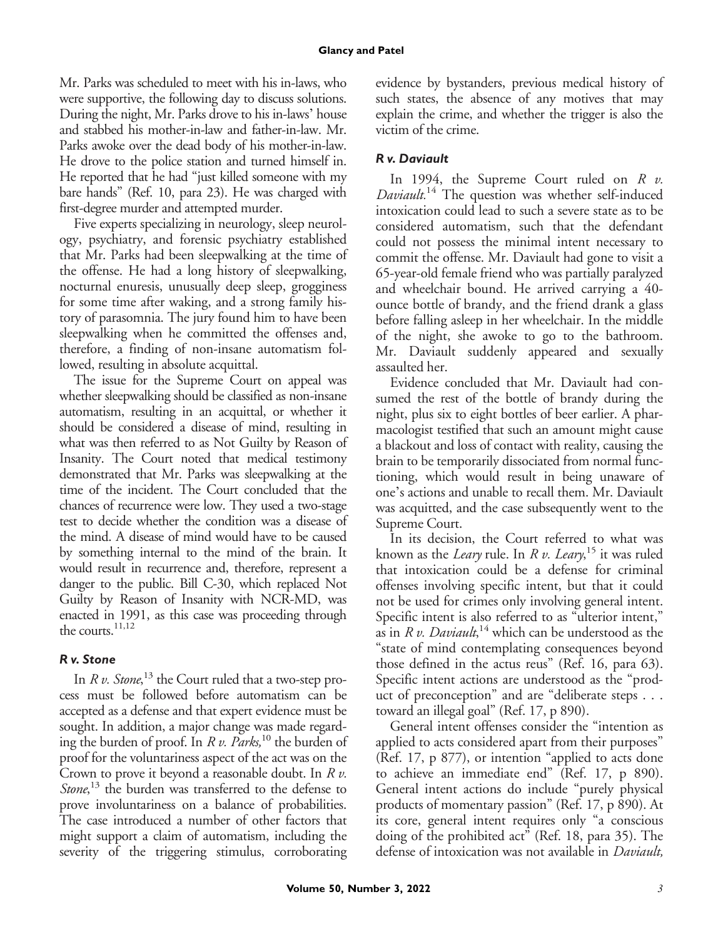Mr. Parks was scheduled to meet with his in-laws, who were supportive, the following day to discuss solutions. During the night, Mr. Parks drove to his in-laws' house and stabbed his mother-in-law and father-in-law. Mr. Parks awoke over the dead body of his mother-in-law. He drove to the police station and turned himself in. He reported that he had "just killed someone with my bare hands" (Ref. 10, para 23). He was charged with first-degree murder and attempted murder.

Five experts specializing in neurology, sleep neurology, psychiatry, and forensic psychiatry established that Mr. Parks had been sleepwalking at the time of the offense. He had a long history of sleepwalking, nocturnal enuresis, unusually deep sleep, grogginess for some time after waking, and a strong family history of parasomnia. The jury found him to have been sleepwalking when he committed the offenses and, therefore, a finding of non-insane automatism followed, resulting in absolute acquittal.

The issue for the Supreme Court on appeal was whether sleepwalking should be classified as non-insane automatism, resulting in an acquittal, or whether it should be considered a disease of mind, resulting in what was then referred to as Not Guilty by Reason of Insanity. The Court noted that medical testimony demonstrated that Mr. Parks was sleepwalking at the time of the incident. The Court concluded that the chances of recurrence were low. They used a two-stage test to decide whether the condition was a disease of the mind. A disease of mind would have to be caused by something internal to the mind of the brain. It would result in recurrence and, therefore, represent a danger to the public. Bill C-30, which replaced Not Guilty by Reason of Insanity with NCR-MD, was enacted in 1991, as this case was proceeding through the courts.<sup>11,12</sup>

### R v. Stone

*R v. Stone* In R v. Stone,<sup>13</sup> the Court ruled that a two-step process must be followed before automatism can be accepted as a defense and that expert evidence must be sought. In addition, a major change was made regarding the burden of proof. In R v. Parks,<sup>10</sup> the burden of proof for the voluntariness aspect of the act was on the Crown to prove it beyond a reasonable doubt. In R v. Stone,<sup>13</sup> the burden was transferred to the defense to prove involuntariness on a balance of probabilities. The case introduced a number of other factors that might support a claim of automatism, including the severity of the triggering stimulus, corroborating evidence by bystanders, previous medical history of such states, the absence of any motives that may explain the crime, and whether the trigger is also the victim of the crime.

### R v. Daviault

*R v. Daviault* In 1994, the Supreme Court ruled on  $R$  v. Daviault.<sup>14</sup> The question was whether self-induced intoxication could lead to such a severe state as to be considered automatism, such that the defendant could not possess the minimal intent necessary to commit the offense. Mr. Daviault had gone to visit a 65-year-old female friend who was partially paralyzed and wheelchair bound. He arrived carrying a 40 ounce bottle of brandy, and the friend drank a glass before falling asleep in her wheelchair. In the middle of the night, she awoke to go to the bathroom. Mr. Daviault suddenly appeared and sexually assaulted her.

Evidence concluded that Mr. Daviault had consumed the rest of the bottle of brandy during the night, plus six to eight bottles of beer earlier. A pharmacologist testified that such an amount might cause a blackout and loss of contact with reality, causing the brain to be temporarily dissociated from normal functioning, which would result in being unaware of one's actions and unable to recall them. Mr. Daviault was acquitted, and the case subsequently went to the Supreme Court.

In its decision, the Court referred to what was known as the *Leary* rule. In *R v. Leary*, <sup>15</sup> it was ruled that intoxication could be a defense for criminal offenses involving specific intent, but that it could not be used for crimes only involving general intent. Specific intent is also referred to as "ulterior intent," as in R v. Daviault,<sup>14</sup> which can be understood as the "state of mind contemplating consequences beyond those defined in the actus reus" (Ref. 16, para 63). Specific intent actions are understood as the "product of preconception" and are "deliberate steps . . . toward an illegal goal" (Ref. 17, p 890).

General intent offenses consider the "intention as applied to acts considered apart from their purposes" (Ref. 17, p 877), or intention "applied to acts done to achieve an immediate end" (Ref. 17, p 890). General intent actions do include "purely physical products of momentary passion" (Ref. 17, p 890). At its core, general intent requires only "a conscious doing of the prohibited act" (Ref. 18, para 35). The defense of intoxication was not available in *Daviault*,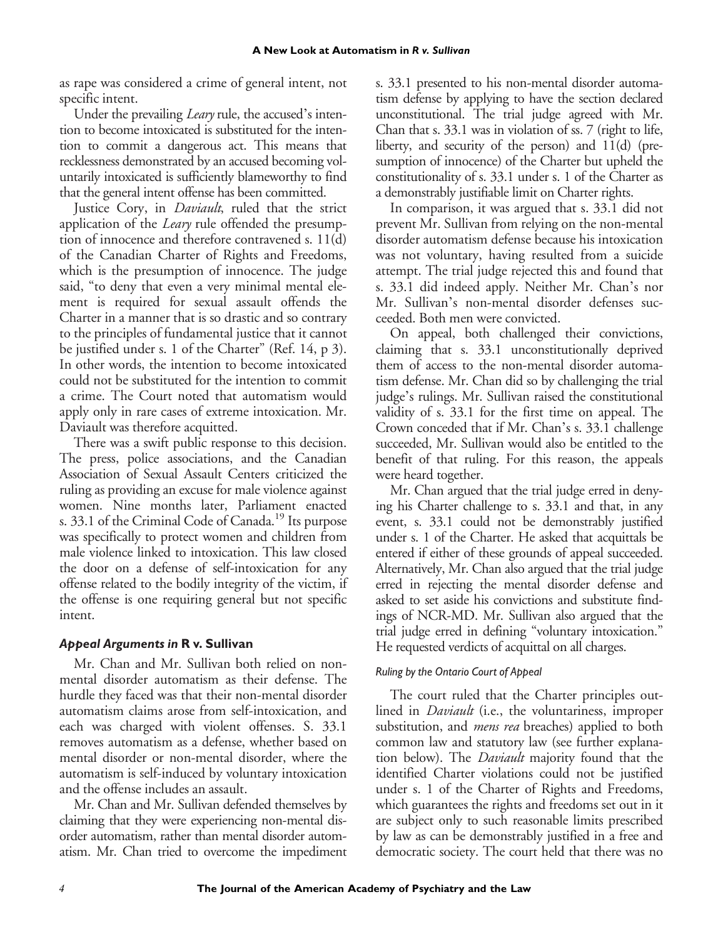as rape was considered a crime of general intent, not specific intent.

Under the prevailing *Leary* rule, the accused's intention to become intoxicated is substituted for the intention to commit a dangerous act. This means that recklessness demonstrated by an accused becoming voluntarily intoxicated is sufficiently blameworthy to find that the general intent offense has been committed.

Justice Cory, in *Daviault*, ruled that the strict application of the *Leary* rule offended the presumption of innocence and therefore contravened s. 11(d) of the Canadian Charter of Rights and Freedoms, which is the presumption of innocence. The judge said, "to deny that even a very minimal mental element is required for sexual assault offends the Charter in a manner that is so drastic and so contrary to the principles of fundamental justice that it cannot be justified under s. 1 of the Charter" (Ref. 14, p 3). In other words, the intention to become intoxicated could not be substituted for the intention to commit a crime. The Court noted that automatism would apply only in rare cases of extreme intoxication. Mr. Daviault was therefore acquitted.

There was a swift public response to this decision. The press, police associations, and the Canadian Association of Sexual Assault Centers criticized the ruling as providing an excuse for male violence against women. Nine months later, Parliament enacted s. 33.1 of the Criminal Code of Canada.<sup>19</sup> Its purpose was specifically to protect women and children from male violence linked to intoxication. This law closed the door on a defense of self-intoxication for any offense related to the bodily integrity of the victim, if the offense is one requiring general but not specific intent.

### *Appeal Arguments in* **R v. Sullivan**

Mr. Chan and Mr. Sullivan both relied on nonmental disorder automatism as their defense. The hurdle they faced was that their non-mental disorder automatism claims arose from self-intoxication, and each was charged with violent offenses. S. 33.1 removes automatism as a defense, whether based on mental disorder or non-mental disorder, where the automatism is self-induced by voluntary intoxication and the offense includes an assault.

Mr. Chan and Mr. Sullivan defended themselves by claiming that they were experiencing non-mental disorder automatism, rather than mental disorder automatism. Mr. Chan tried to overcome the impediment

s. 33.1 presented to his non-mental disorder automatism defense by applying to have the section declared unconstitutional. The trial judge agreed with Mr. Chan that s. 33.1 was in violation of ss. 7 (right to life, liberty, and security of the person) and 11(d) (presumption of innocence) of the Charter but upheld the constitutionality of s. 33.1 under s. 1 of the Charter as a demonstrably justifiable limit on Charter rights.

In comparison, it was argued that s. 33.1 did not prevent Mr. Sullivan from relying on the non-mental disorder automatism defense because his intoxication was not voluntary, having resulted from a suicide attempt. The trial judge rejected this and found that s. 33.1 did indeed apply. Neither Mr. Chan's nor Mr. Sullivan's non-mental disorder defenses succeeded. Both men were convicted.

On appeal, both challenged their convictions, claiming that s. 33.1 unconstitutionally deprived them of access to the non-mental disorder automatism defense. Mr. Chan did so by challenging the trial judge's rulings. Mr. Sullivan raised the constitutional validity of s. 33.1 for the first time on appeal. The Crown conceded that if Mr. Chan's s. 33.1 challenge succeeded, Mr. Sullivan would also be entitled to the benefit of that ruling. For this reason, the appeals were heard together.

Mr. Chan argued that the trial judge erred in denying his Charter challenge to s. 33.1 and that, in any event, s. 33.1 could not be demonstrably justified under s. 1 of the Charter. He asked that acquittals be entered if either of these grounds of appeal succeeded. Alternatively, Mr. Chan also argued that the trial judge erred in rejecting the mental disorder defense and asked to set aside his convictions and substitute findings of NCR-MD. Mr. Sullivan also argued that the trial judge erred in defining "voluntary intoxication." He requested verdicts of acquittal on all charges.

### *Ruling by the Ontario Court of Appeal*

The court ruled that the Charter principles outlined in *Daviault* (i.e., the voluntariness, improper substitution, and *mens rea* breaches) applied to both common law and statutory law (see further explanation below). The Daviault majority found that the identified Charter violations could not be justified under s. 1 of the Charter of Rights and Freedoms, which guarantees the rights and freedoms set out in it are subject only to such reasonable limits prescribed by law as can be demonstrably justified in a free and democratic society. The court held that there was no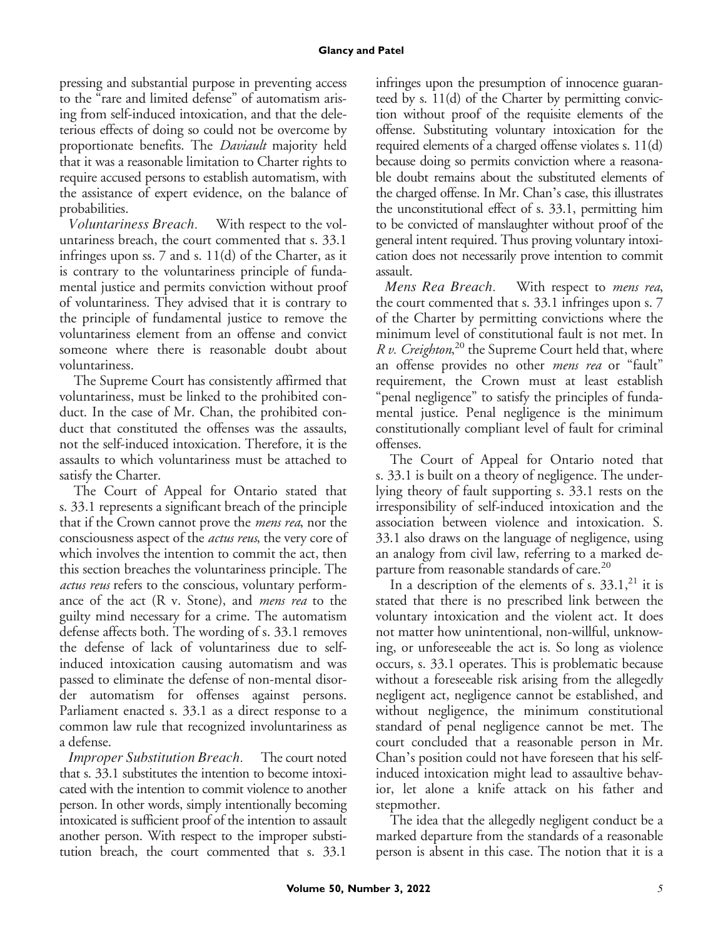#### **Glancy and Patel**

pressing and substantial purpose in preventing access to the "rare and limited defense" of automatism arising from self-induced intoxication, and that the deleterious effects of doing so could not be overcome by proportionate benefits. The *Daviault* majority held that it was a reasonable limitation to Charter rights to require accused persons to establish automatism, with the assistance of expert evidence, on the balance of probabilities.

Voluntariness Breach. With respect to the voluntariness breach, the court commented that s. 33.1 infringes upon ss. 7 and s. 11(d) of the Charter, as it is contrary to the voluntariness principle of fundamental justice and permits conviction without proof of voluntariness. They advised that it is contrary to the principle of fundamental justice to remove the voluntariness element from an offense and convict someone where there is reasonable doubt about voluntariness.

The Supreme Court has consistently affirmed that voluntariness, must be linked to the prohibited conduct. In the case of Mr. Chan, the prohibited conduct that constituted the offenses was the assaults, not the self-induced intoxication. Therefore, it is the assaults to which voluntariness must be attached to satisfy the Charter.

The Court of Appeal for Ontario stated that s. 33.1 represents a significant breach of the principle that if the Crown cannot prove the *mens rea*, nor the consciousness aspect of the actus reus, the very core of which involves the intention to commit the act, then this section breaches the voluntariness principle. The actus reus refers to the conscious, voluntary performance of the act  $(R \, v. \, Stone)$ , and *mens rea* to the guilty mind necessary for a crime. The automatism defense affects both. The wording of s. 33.1 removes the defense of lack of voluntariness due to selfinduced intoxication causing automatism and was passed to eliminate the defense of non-mental disorder automatism for offenses against persons. Parliament enacted s. 33.1 as a direct response to a common law rule that recognized involuntariness as a defense.

Improper Substitution Breach. The court noted that s. 33.1 substitutes the intention to become intoxicated with the intention to commit violence to another person. In other words, simply intentionally becoming intoxicated is sufficient proof of the intention to assault another person. With respect to the improper substitution breach, the court commented that s. 33.1

infringes upon the presumption of innocence guaranteed by s. 11(d) of the Charter by permitting conviction without proof of the requisite elements of the offense. Substituting voluntary intoxication for the required elements of a charged offense violates s. 11(d) because doing so permits conviction where a reasonable doubt remains about the substituted elements of the charged offense. In Mr. Chan's case, this illustrates the unconstitutional effect of s. 33.1, permitting him to be convicted of manslaughter without proof of the general intent required. Thus proving voluntary intoxication does not necessarily prove intention to commit assault.

Mens Rea Breach. With respect to *mens rea*, the court commented that s. 33.1 infringes upon s. 7 of the Charter by permitting convictions where the minimum level of constitutional fault is not met. In R v. Creighton,<sup>20</sup> the Supreme Court held that, where an offense provides no other mens rea or "fault" requirement, the Crown must at least establish "penal negligence" to satisfy the principles of fundamental justice. Penal negligence is the minimum constitutionally compliant level of fault for criminal offenses.

The Court of Appeal for Ontario noted that s. 33.1 is built on a theory of negligence. The underlying theory of fault supporting s. 33.1 rests on the irresponsibility of self-induced intoxication and the association between violence and intoxication. S. 33.1 also draws on the language of negligence, using an analogy from civil law, referring to a marked departure from reasonable standards of care.<sup>20</sup>

In a description of the elements of s.  $33.1<sup>21</sup>$  it is stated that there is no prescribed link between the voluntary intoxication and the violent act. It does not matter how unintentional, non-willful, unknowing, or unforeseeable the act is. So long as violence occurs, s. 33.1 operates. This is problematic because without a foreseeable risk arising from the allegedly negligent act, negligence cannot be established, and without negligence, the minimum constitutional standard of penal negligence cannot be met. The court concluded that a reasonable person in Mr. Chan's position could not have foreseen that his selfinduced intoxication might lead to assaultive behavior, let alone a knife attack on his father and stepmother.

The idea that the allegedly negligent conduct be a marked departure from the standards of a reasonable person is absent in this case. The notion that it is a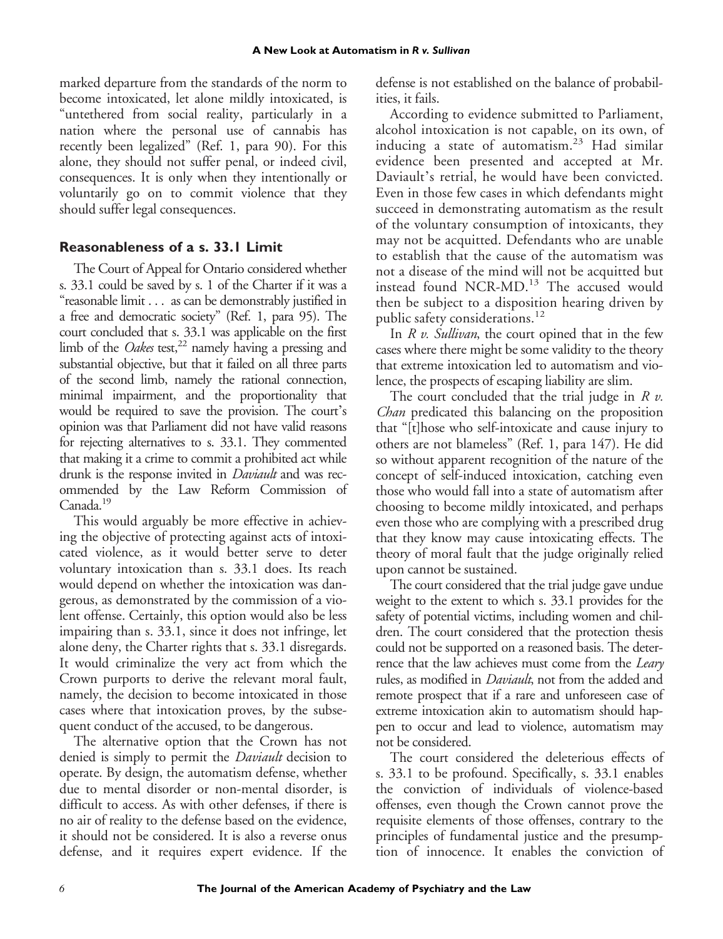marked departure from the standards of the norm to become intoxicated, let alone mildly intoxicated, is "untethered from social reality, particularly in a nation where the personal use of cannabis has recently been legalized" (Ref. 1, para 90). For this alone, they should not suffer penal, or indeed civil, consequences. It is only when they intentionally or voluntarily go on to commit violence that they should suffer legal consequences.

# **Reasonableness of a s. 33.1 Limit**

The Court of Appeal for Ontario considered whether s. 33.1 could be saved by s. 1 of the Charter if it was a "reasonable limit . . . as can be demonstrably justified in a free and democratic society" (Ref. 1, para 95). The court concluded that s. 33.1 was applicable on the first limb of the *Oakes* test,<sup>22</sup> namely having a pressing and substantial objective, but that it failed on all three parts of the second limb, namely the rational connection, minimal impairment, and the proportionality that would be required to save the provision. The court's opinion was that Parliament did not have valid reasons for rejecting alternatives to s. 33.1. They commented that making it a crime to commit a prohibited act while drunk is the response invited in *Daviault* and was recommended by the Law Reform Commission of Canada.<sup>19</sup>

This would arguably be more effective in achieving the objective of protecting against acts of intoxicated violence, as it would better serve to deter voluntary intoxication than s. 33.1 does. Its reach would depend on whether the intoxication was dangerous, as demonstrated by the commission of a violent offense. Certainly, this option would also be less impairing than s. 33.1, since it does not infringe, let alone deny, the Charter rights that s. 33.1 disregards. It would criminalize the very act from which the Crown purports to derive the relevant moral fault, namely, the decision to become intoxicated in those cases where that intoxication proves, by the subsequent conduct of the accused, to be dangerous.

The alternative option that the Crown has not denied is simply to permit the *Daviault* decision to operate. By design, the automatism defense, whether due to mental disorder or non-mental disorder, is difficult to access. As with other defenses, if there is no air of reality to the defense based on the evidence, it should not be considered. It is also a reverse onus defense, and it requires expert evidence. If the

defense is not established on the balance of probabilities, it fails.

According to evidence submitted to Parliament, alcohol intoxication is not capable, on its own, of inducing a state of automatism.<sup>23</sup> Had similar evidence been presented and accepted at Mr. Daviault's retrial, he would have been convicted. Even in those few cases in which defendants might succeed in demonstrating automatism as the result of the voluntary consumption of intoxicants, they may not be acquitted. Defendants who are unable to establish that the cause of the automatism was not a disease of the mind will not be acquitted but instead found NCR-MD.<sup>13</sup> The accused would then be subject to a disposition hearing driven by public safety considerations.<sup>12</sup>

In  $R$  v. Sullivan, the court opined that in the few cases where there might be some validity to the theory that extreme intoxication led to automatism and violence, the prospects of escaping liability are slim.

The court concluded that the trial judge in  $R v$ . Chan predicated this balancing on the proposition that "[t]hose who self-intoxicate and cause injury to others are not blameless" (Ref. 1, para 147). He did so without apparent recognition of the nature of the concept of self-induced intoxication, catching even those who would fall into a state of automatism after choosing to become mildly intoxicated, and perhaps even those who are complying with a prescribed drug that they know may cause intoxicating effects. The theory of moral fault that the judge originally relied upon cannot be sustained.

The court considered that the trial judge gave undue weight to the extent to which s. 33.1 provides for the safety of potential victims, including women and children. The court considered that the protection thesis could not be supported on a reasoned basis. The deterrence that the law achieves must come from the *Leary* rules, as modified in Daviault, not from the added and remote prospect that if a rare and unforeseen case of extreme intoxication akin to automatism should happen to occur and lead to violence, automatism may not be considered.

The court considered the deleterious effects of s. 33.1 to be profound. Specifically, s. 33.1 enables the conviction of individuals of violence-based offenses, even though the Crown cannot prove the requisite elements of those offenses, contrary to the principles of fundamental justice and the presumption of innocence. It enables the conviction of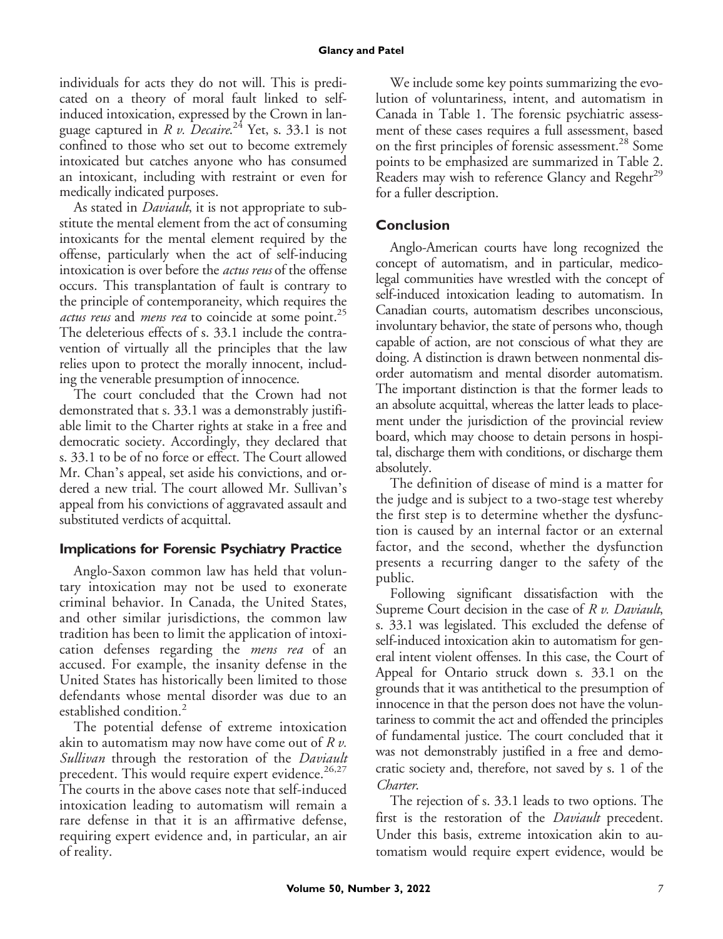individuals for acts they do not will. This is predicated on a theory of moral fault linked to selfinduced intoxication, expressed by the Crown in language captured in *R v. Decaire*.<sup>24</sup> Yet, s. 33.1 is not confined to those who set out to become extremely intoxicated but catches anyone who has consumed an intoxicant, including with restraint or even for medically indicated purposes.

As stated in *Daviault*, it is not appropriate to substitute the mental element from the act of consuming intoxicants for the mental element required by the offense, particularly when the act of self-inducing intoxication is over before the actus reus of the offense occurs. This transplantation of fault is contrary to the principle of contemporaneity, which requires the actus reus and *mens rea* to coincide at some point.<sup>25</sup> The deleterious effects of s. 33.1 include the contravention of virtually all the principles that the law relies upon to protect the morally innocent, including the venerable presumption of innocence.

The court concluded that the Crown had not demonstrated that s. 33.1 was a demonstrably justifiable limit to the Charter rights at stake in a free and democratic society. Accordingly, they declared that s. 33.1 to be of no force or effect. The Court allowed Mr. Chan's appeal, set aside his convictions, and ordered a new trial. The court allowed Mr. Sullivan's appeal from his convictions of aggravated assault and substituted verdicts of acquittal.

# **Implications for Forensic Psychiatry Practice**

Anglo-Saxon common law has held that voluntary intoxication may not be used to exonerate criminal behavior. In Canada, the United States, and other similar jurisdictions, the common law tradition has been to limit the application of intoxication defenses regarding the *mens rea* of an accused. For example, the insanity defense in the United States has historically been limited to those defendants whose mental disorder was due to an established condition.<sup>2</sup>

The potential defense of extreme intoxication akin to automatism may now have come out of  $R v$ . Sullivan through the restoration of the Daviault precedent. This would require expert evidence. $26,27$ The courts in the above cases note that self-induced intoxication leading to automatism will remain a rare defense in that it is an affirmative defense, requiring expert evidence and, in particular, an air of reality.

We include some key points summarizing the evolution of voluntariness, intent, and automatism in Canada in Table 1. The forensic psychiatric assessment of these cases requires a full assessment, based on the first principles of forensic assessment.<sup>28</sup> Some points to be emphasized are summarized in Table 2. Readers may wish to reference Glancy and Regehr<sup>29</sup> for a fuller description.

# **Conclusion**

Anglo-American courts have long recognized the concept of automatism, and in particular, medicolegal communities have wrestled with the concept of self-induced intoxication leading to automatism. In Canadian courts, automatism describes unconscious, involuntary behavior, the state of persons who, though capable of action, are not conscious of what they are doing. A distinction is drawn between nonmental disorder automatism and mental disorder automatism. The important distinction is that the former leads to an absolute acquittal, whereas the latter leads to placement under the jurisdiction of the provincial review board, which may choose to detain persons in hospital, discharge them with conditions, or discharge them absolutely.

The definition of disease of mind is a matter for the judge and is subject to a two-stage test whereby the first step is to determine whether the dysfunction is caused by an internal factor or an external factor, and the second, whether the dysfunction presents a recurring danger to the safety of the public.

Following significant dissatisfaction with the Supreme Court decision in the case of  $R v$ . Daviault, s. 33.1 was legislated. This excluded the defense of self-induced intoxication akin to automatism for general intent violent offenses. In this case, the Court of Appeal for Ontario struck down s. 33.1 on the grounds that it was antithetical to the presumption of innocence in that the person does not have the voluntariness to commit the act and offended the principles of fundamental justice. The court concluded that it was not demonstrably justified in a free and democratic society and, therefore, not saved by s. 1 of the Charter.

The rejection of s. 33.1 leads to two options. The first is the restoration of the *Daviault* precedent. Under this basis, extreme intoxication akin to automatism would require expert evidence, would be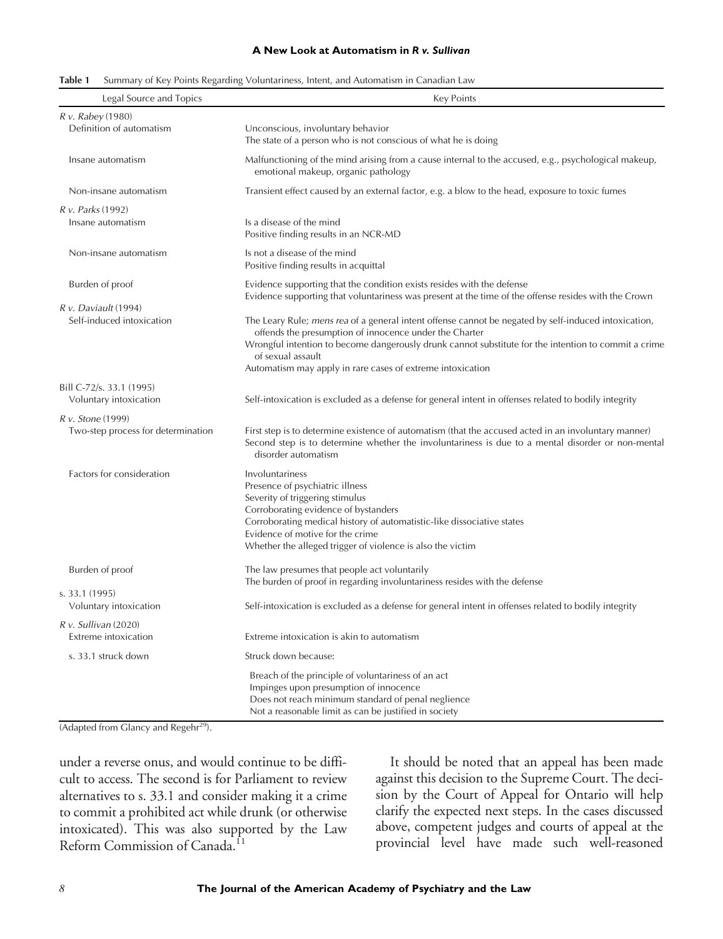#### **A New Look at Automatism in** *R v. Sullivan*

| Table 1 |  |  |  | Summary of Key Points Regarding Voluntariness, Intent, and Automatism in Canadian Law |  |
|---------|--|--|--|---------------------------------------------------------------------------------------|--|
|---------|--|--|--|---------------------------------------------------------------------------------------|--|

| Legal Source and Topics                                 | <b>Key Points</b>                                                                                                                                                                                                                                                                                                                                         |  |  |
|---------------------------------------------------------|-----------------------------------------------------------------------------------------------------------------------------------------------------------------------------------------------------------------------------------------------------------------------------------------------------------------------------------------------------------|--|--|
| R v. Rabey (1980)                                       |                                                                                                                                                                                                                                                                                                                                                           |  |  |
| Definition of automatism                                | Unconscious, involuntary behavior<br>The state of a person who is not conscious of what he is doing                                                                                                                                                                                                                                                       |  |  |
| Insane automatism                                       | Malfunctioning of the mind arising from a cause internal to the accused, e.g., psychological makeup,<br>emotional makeup, organic pathology                                                                                                                                                                                                               |  |  |
| Non-insane automatism                                   | Transient effect caused by an external factor, e.g. a blow to the head, exposure to toxic fumes                                                                                                                                                                                                                                                           |  |  |
| <i>R v. Parks</i> (1992)<br>Insane automatism           | Is a disease of the mind<br>Positive finding results in an NCR-MD                                                                                                                                                                                                                                                                                         |  |  |
| Non-insane automatism                                   | Is not a disease of the mind<br>Positive finding results in acquittal                                                                                                                                                                                                                                                                                     |  |  |
| Burden of proof                                         | Evidence supporting that the condition exists resides with the defense<br>Evidence supporting that voluntariness was present at the time of the offense resides with the Crown                                                                                                                                                                            |  |  |
| $R v.$ Daviault (1994)<br>Self-induced intoxication     | The Leary Rule; mens rea of a general intent offense cannot be negated by self-induced intoxication,<br>offends the presumption of innocence under the Charter<br>Wrongful intention to become dangerously drunk cannot substitute for the intention to commit a crime<br>of sexual assault<br>Automatism may apply in rare cases of extreme intoxication |  |  |
| Bill C-72/s. 33.1 (1995)<br>Voluntary intoxication      | Self-intoxication is excluded as a defense for general intent in offenses related to bodily integrity                                                                                                                                                                                                                                                     |  |  |
| R v. Stone (1999)<br>Two-step process for determination | First step is to determine existence of automatism (that the accused acted in an involuntary manner)<br>Second step is to determine whether the involuntariness is due to a mental disorder or non-mental<br>disorder automatism                                                                                                                          |  |  |
| Factors for consideration                               | Involuntariness<br>Presence of psychiatric illness<br>Severity of triggering stimulus<br>Corroborating evidence of bystanders<br>Corroborating medical history of automatistic-like dissociative states<br>Evidence of motive for the crime<br>Whether the alleged trigger of violence is also the victim                                                 |  |  |
| Burden of proof                                         | The law presumes that people act voluntarily<br>The burden of proof in regarding involuntariness resides with the defense                                                                                                                                                                                                                                 |  |  |
| s. 33.1 (1995)<br>Voluntary intoxication                | Self-intoxication is excluded as a defense for general intent in offenses related to bodily integrity                                                                                                                                                                                                                                                     |  |  |
| $R v.$ Sullivan (2020)<br><b>Extreme</b> intoxication   | Extreme intoxication is akin to automatism                                                                                                                                                                                                                                                                                                                |  |  |
| s. 33.1 struck down                                     | Struck down because:                                                                                                                                                                                                                                                                                                                                      |  |  |
|                                                         | Breach of the principle of voluntariness of an act<br>Impinges upon presumption of innocence<br>Does not reach minimum standard of penal neglience<br>Not a reasonable limit as can be justified in society                                                                                                                                               |  |  |

 $\sqrt{\frac{(2\text{Adapted from Glancy and Regehr<sup>29</sup>)}{\text{Adapted from Glancy and Regehr<sup>29</sup>)}}}$ 

under a reverse onus, and would continue to be difficult to access. The second is for Parliament to review alternatives to s. 33.1 and consider making it a crime to commit a prohibited act while drunk (or otherwise intoxicated). This was also supported by the Law Reform Commission of Canada.<sup>11</sup>

It should be noted that an appeal has been made against this decision to the Supreme Court. The decision by the Court of Appeal for Ontario will help clarify the expected next steps. In the cases discussed above, competent judges and courts of appeal at the provincial level have made such well-reasoned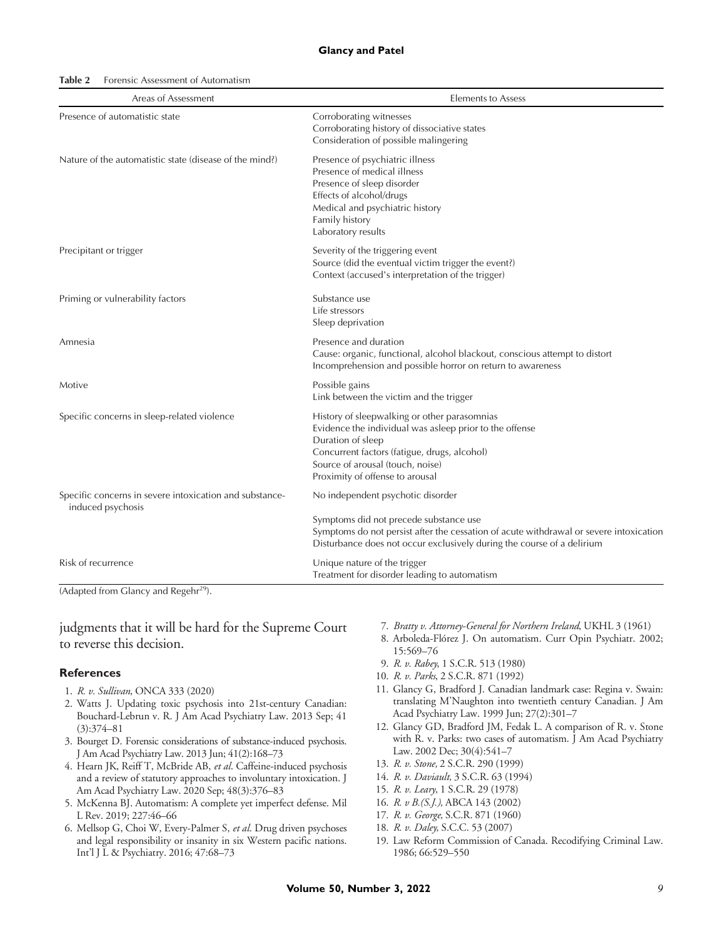| Table 2<br>Forensic Assessment of Automatism |
|----------------------------------------------|
|----------------------------------------------|

| Areas of Assessment                                                          | <b>Elements to Assess</b>                                                                                                                                                                                                                           |  |
|------------------------------------------------------------------------------|-----------------------------------------------------------------------------------------------------------------------------------------------------------------------------------------------------------------------------------------------------|--|
| Presence of automatistic state                                               | Corroborating witnesses<br>Corroborating history of dissociative states<br>Consideration of possible malingering                                                                                                                                    |  |
| Nature of the automatistic state (disease of the mind?)                      | Presence of psychiatric illness<br>Presence of medical illness<br>Presence of sleep disorder<br>Effects of alcohol/drugs<br>Medical and psychiatric history<br>Family history<br>Laboratory results                                                 |  |
| Precipitant or trigger                                                       | Severity of the triggering event<br>Source (did the eventual victim trigger the event?)<br>Context (accused's interpretation of the trigger)                                                                                                        |  |
| Priming or vulnerability factors                                             | Substance use<br>Life stressors<br>Sleep deprivation                                                                                                                                                                                                |  |
| Amnesia                                                                      | Presence and duration<br>Cause: organic, functional, alcohol blackout, conscious attempt to distort<br>Incomprehension and possible horror on return to awareness                                                                                   |  |
| Motive                                                                       | Possible gains<br>Link between the victim and the trigger                                                                                                                                                                                           |  |
| Specific concerns in sleep-related violence                                  | History of sleepwalking or other parasomnias<br>Evidence the individual was asleep prior to the offense<br>Duration of sleep<br>Concurrent factors (fatigue, drugs, alcohol)<br>Source of arousal (touch, noise)<br>Proximity of offense to arousal |  |
| Specific concerns in severe intoxication and substance-<br>induced psychosis | No independent psychotic disorder                                                                                                                                                                                                                   |  |
|                                                                              | Symptoms did not precede substance use<br>Symptoms do not persist after the cessation of acute withdrawal or severe intoxication<br>Disturbance does not occur exclusively during the course of a delirium                                          |  |
| Risk of recurrence                                                           | Unique nature of the trigger<br>Treatment for disorder leading to automatism                                                                                                                                                                        |  |

(Adapted from Glancy and Regehr<sup>29</sup>).

judgments that it will be hard for the Supreme Court to reverse this decision.

#### **References**

- 1. R. v. Sullivan, ONCA 333 (2020)
- 2. Watts J. Updating toxic psychosis into 21st-century Canadian: Bouchard-Lebrun v. R. J Am Acad Psychiatry Law. 2013 Sep; 41 (3):374–81
- 3. Bourget D. Forensic considerations of substance-induced psychosis. J Am Acad Psychiatry Law. 2013 Jun; 41(2):168–73
- 4. Hearn JK, Reiff T, McBride AB, et al. Caffeine-induced psychosis and a review of statutory approaches to involuntary intoxication. J Am Acad Psychiatry Law. 2020 Sep; 48(3):376–83
- 5. McKenna BJ. Automatism: A complete yet imperfect defense. Mil L Rev. 2019; 227:46–66
- 6. Mellsop G, Choi W, Every-Palmer S, et al. Drug driven psychoses and legal responsibility or insanity in six Western pacific nations. Int'l J L & Psychiatry. 2016; 47:68–73
- 7. Bratty v. Attorney-General for Northern Ireland, UKHL 3 (1961)
- 8. Arboleda-Flórez J. On automatism. Curr Opin Psychiatr. 2002; 15:569–76
- 9. R. v. Rabey, 1 S.C.R. 513 (1980)
- 10. R. v. Parks, 2 S.C.R. 871 (1992)
- 11. Glancy G, Bradford J. Canadian landmark case: Regina v. Swain: translating M'Naughton into twentieth century Canadian. J Am Acad Psychiatry Law. 1999 Jun; 27(2):301–7
- 12. Glancy GD, Bradford JM, Fedak L. A comparison of R. v. Stone with R. v. Parks: two cases of automatism. J Am Acad Psychiatry Law. 2002 Dec; 30(4):541–7
- 13. R. v. Stone, 2 S.C.R. 290 (1999)
- 14. R. v. Daviault, 3 S.C.R. 63 (1994)
- 15. R. v. Leary, 1 S.C.R. 29 (1978)
- 16. R. v B.(S.J.), ABCA 143 (2002)
- 17. R. v. George, S.C.R. 871 (1960)
- 18. R. v. Daley, S.C.C. 53 (2007)
- 19. Law Reform Commission of Canada. Recodifying Criminal Law. 1986; 66:529–550